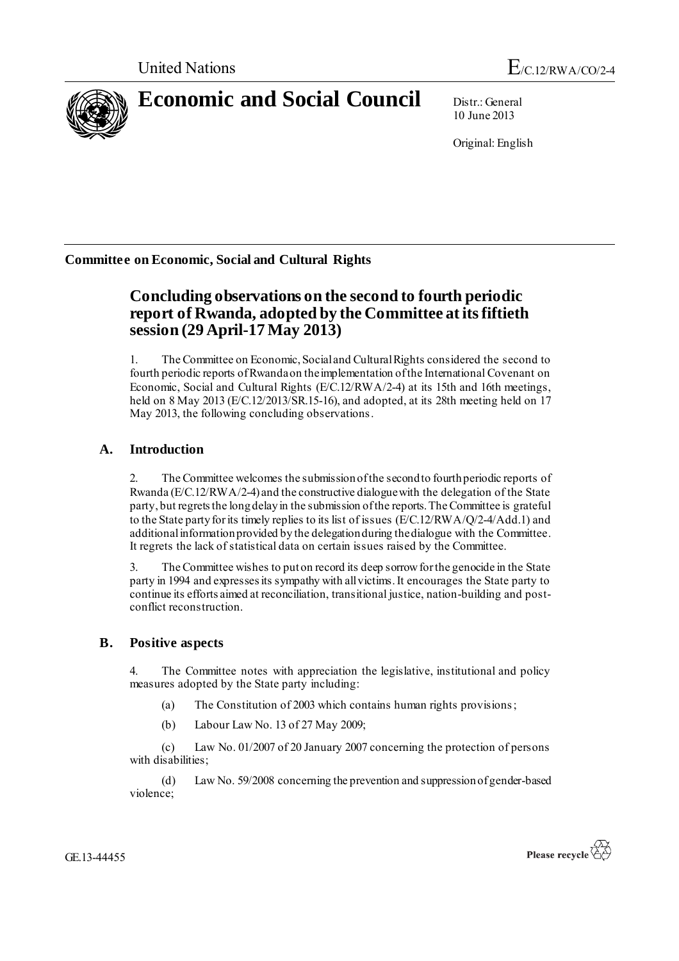

10 June 2013

Original: English

**Committee on Economic, Social and Cultural Rights**

# **Concluding observations on the second to fourth periodic report of Rwanda, adopted by the Committee at its fiftieth session (29 April-17 May 2013)**

1. The Committee on Economic, Social and Cultural Rights considered the second to fourth periodic reports of Rwandaon the implementation of the International Covenant on Economic, Social and Cultural Rights (E/C.12/RWA/2-4) at its 15th and 16th meetings, held on 8 May 2013 (E/C.12/2013/SR.15-16), and adopted, at its 28th meeting held on 17 May 2013, the following concluding observations.

## **A. Introduction**

2. The Committee welcomes the submission of the second to fourth periodic reports of Rwanda (E/C.12/RWA/2-4) and the constructive dialogue with the delegation of the State party, but regrets the long delay in the submission of the reports. The Committee is grateful to the State party for its timely replies to its list of issues (E/C.12/RWA/Q/2-4/Add.1) and additional information provided by the delegation during the dialogue with the Committee. It regrets the lack of statistical data on certain issues raised by the Committee.

3. The Committee wishes to put on record its deep sorrow forthe genocide in the State party in 1994 and expresses its sympathy with all victims. It encourages the State party to continue its efforts aimed at reconciliation, transitional justice, nation-building and postconflict reconstruction.

### **B. Positive aspects**

4. The Committee notes with appreciation the legislative, institutional and policy measures adopted by the State party including:

- (a) The Constitution of 2003 which contains human rights provisions;
- (b) Labour Law No. 13 of 27 May 2009;

(c) Law No. 01/2007 of 20 January 2007 concerning the protection of persons with disabilities;

(d) Law No. 59/2008 concerning the prevention and suppression of gender-based violence;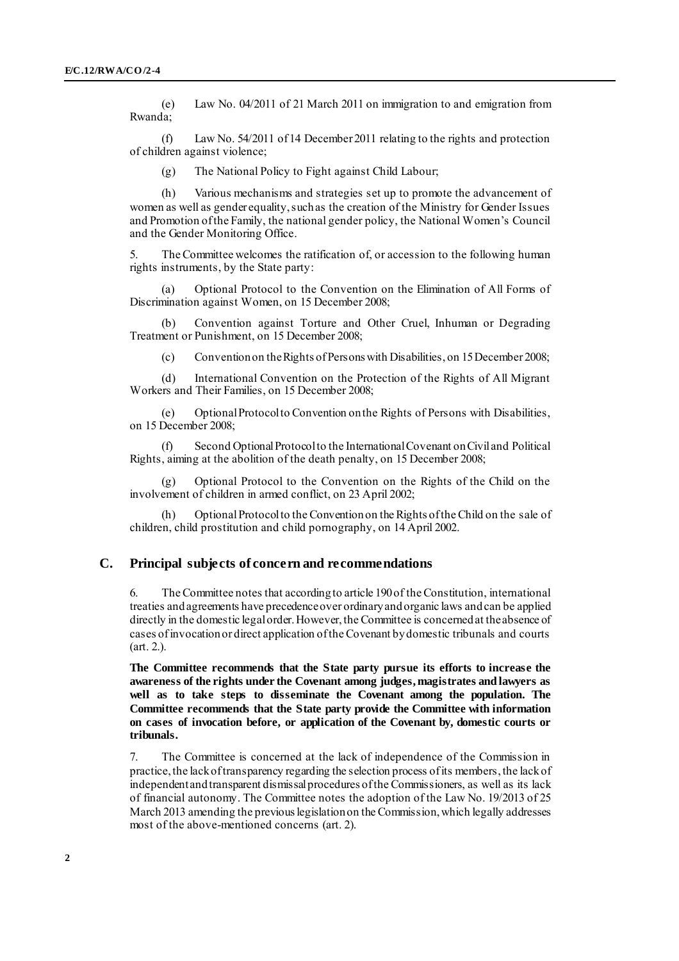(e) Law No. 04/2011 of 21 March 2011 on immigration to and emigration from Rwanda;

(f) Law No. 54/2011 of 14 December 2011 relating to the rights and protection of children against violence;

(g) The National Policy to Fight against Child Labour;

(h) Various mechanisms and strategies set up to promote the advancement of women as well as gender equality, such as the creation of the Ministry for Gender Issues and Promotion of the Family, the national gender policy, the National Women's Council and the Gender Monitoring Office.

The Committee welcomes the ratification of, or accession to the following human rights instruments, by the State party:

(a) Optional Protocol to the Convention on the Elimination of All Forms of Discrimination against Women, on 15 December 2008;

(b) Convention against Torture and Other Cruel, Inhuman or Degrading Treatment or Punishment, on 15 December 2008;

(c) Convention on the Rights of Persons with Disabilities, on 15 December 2008;

(d) International Convention on the Protection of the Rights of All Migrant Workers and Their Families, on 15 December 2008;

(e) Optional Protocol to Convention on the Rights of Persons with Disabilities, on 15 December 2008;

(f) Second Optional Protocol to the International Covenant on Civil and Political Rights, aiming at the abolition of the death penalty, on 15 December 2008;

(g) Optional Protocol to the Convention on the Rights of the Child on the involvement of children in armed conflict, on 23 April 2002;

(h) Optional Protocol to the Convention on the Rights of the Child on the sale of children, child prostitution and child pornography, on 14 April 2002.

#### **C. Principal subjects of concern and recommendations**

6. The Committee notes that according to article 190 of the Constitution, international treaties and agreements have precedence over ordinary and organic laws and can be applied directly in the domestic legal order. However, the Committee is concerned at the absence of cases of invocation or direct application of the Covenant by domestic tribunals and courts (art. 2.).

**The Committee recommends that the State party pursue its efforts to increase the awareness of the rights under the Covenant among judges, magistrates and lawyers as well as to take steps to disseminate the Covenant among the population. The Committee recommends that the State party provide the Committee with information on cases of invocation before, or application of the Covenant by, domestic courts or tribunals.**

7. The Committee is concerned at the lack of independence of the Commission in practice, the lack of transparency regarding the selection process of its members, the lack of independent and transparent dismissal procedures of the Commissioners, as well as its lack of financial autonomy. The Committee notes the adoption of the Law No. 19/2013 of 25 March 2013 amending the previous legislation on the Commission, which legally addresses most of the above-mentioned concerns (art. 2).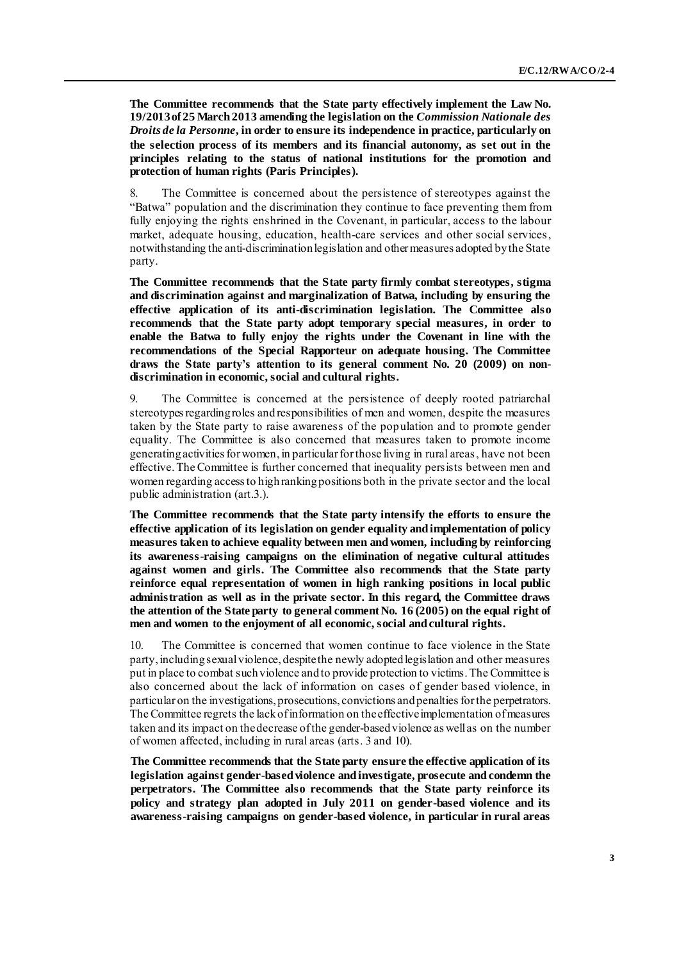**The Committee recommends that the State party effectively implement the Law No. 19/2013 of 25 March 2013 amending the legislation on the** *Commission Nationale des Droits de la Personne***, in order to ensure its independence in practice, particularly on the selection process of its members and its financial autonomy, as set out in the principles relating to the status of national institutions for the promotion and protection of human rights (Paris Principles).**

8. The Committee is concerned about the persistence of stereotypes against the "Batwa" population and the discrimination they continue to face preventing them from fully enjoying the rights enshrined in the Covenant, in particular, access to the labour market, adequate housing, education, health-care services and other social services, notwithstanding the anti-discrimination legislation and other measures adopted by the State party.

**The Committee recommends that the State party firmly combat stereotypes, stigma and discrimination against and marginalization of Batwa, including by ensuring the effective application of its anti-discrimination legislation. The Committee also recommends that the State party adopt temporary special measures, in order to enable the Batwa to fully enjoy the rights under the Covenant in line with the recommendations of the Special Rapporteur on adequate housing. The Committee draws the State party's attention to its general comment No. 20 (2009) on nondiscrimination in economic, social and cultural rights.** 

9. The Committee is concerned at the persistence of deeply rooted patriarchal stereotypes regarding roles and responsibilities of men and women, despite the measures taken by the State party to raise awareness of the population and to promote gender equality. The Committee is also concerned that measures taken to promote income generating activities for women, in particular for those living in rural areas, have not been effective. The Committee is further concerned that inequality persists between men and women regarding access to high ranking positions both in the private sector and the local public administration (art.3.).

**The Committee recommends that the State party intensify the efforts to ensure the effective application of its legislation on gender equality and implementation of policy measures taken to achieve equality between men and women, including by reinforcing its awareness-raising campaigns on the elimination of negative cultural attitudes against women and girls. The Committee also recommends that the State party reinforce equal representation of women in high ranking positions in local public administration as well as in the private sector. In this regard, the Committee draws the attention of the State party to general comment No. 16 (2005) on the equal right of men and women to the enjoyment of all economic, social and cultural rights.**

10. The Committee is concerned that women continue to face violence in the State party, including sexual violence, despite the newly adopted legislation and other measures put in place to combat such violence and to provide protection to victims. The Committee is also concerned about the lack of information on cases of gender based violence, in particular on the investigations, prosecutions, convictions and penalties forthe perpetrators. The Committee regrets the lack of information on the effective implementation of measures taken and its impact on the decrease of the gender-based violence as well as on the number of women affected, including in rural areas (arts. 3 and 10).

**The Committee recommends that the State party ensure the effective application of its legislation against gender-based violence and investigate, prosecute and condemn the perpetrators. The Committee also recommends that the State party reinforce its policy and strategy plan adopted in July 2011 on gender-based violence and its awareness-raising campaigns on gender-based violence, in particular in rural areas**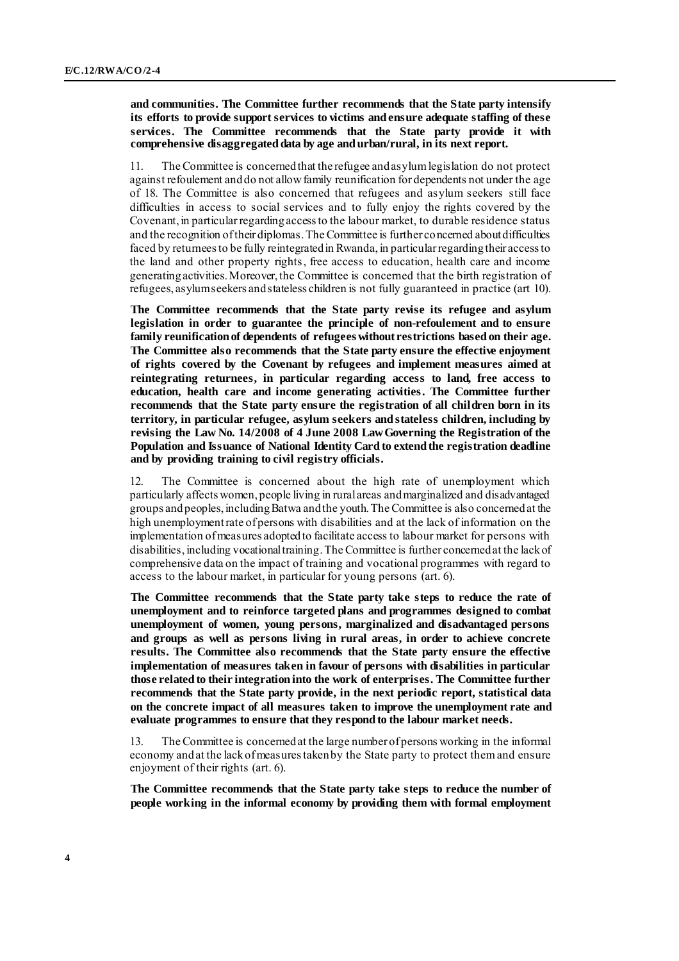#### **and communities. The Committee further recommends that the State party intensify its efforts to provide support services to victims andensure adequate staffing of these services. The Committee recommends that the State party provide it with comprehensive disaggregated data by age and urban/rural, in its next report.**

11. The Committee is concerned that the refugee and asylum legislation do not protect against refoulement and do not allow family reunification for dependents not under the age of 18. The Committee is also concerned that refugees and asylum seekers still face difficulties in access to social services and to fully enjoy the rights covered by the Covenant, in particular regarding access to the labour market, to durable residence status and the recognition of their diplomas. The Committee is further concerned about difficulties faced by returneesto be fully reintegrated in Rwanda, in particular regarding their access to the land and other property rights, free access to education, health care and income generating activities. Moreover, the Committee is concerned that the birth registration of refugees, asylum seekers and stateless children is not fully guaranteed in practice (art 10).

**The Committee recommends that the State party revise its refugee and asylum legislation in order to guarantee the principle of non-refoulement and to ensure family reunification of dependents of refugees without restrictions based on their age. The Committee also recommends that the State party ensure the effective enjoyment of rights covered by the Covenant by refugees and implement measures aimed at reintegrating returnees, in particular regarding access to land, free access to education, health care and income generating activities. The Committee further recommends that the State party ensure the registration of all children born in its territory, in particular refugee, asylum seekers and stateless children, including by revising the Law No. 14/2008 of 4 June 2008 Law Governing the Registration of the Population and Issuance of National Identity Card to extend the registration deadline and by providing training to civil registry officials.**

12. The Committee is concerned about the high rate of unemployment which particularly affects women, people living in rural areas and marginalized and disadvantaged groups and peoples, including Batwa and the youth. The Committee is also concerned at the high unemployment rate of persons with disabilities and at the lack of information on the implementation of measures adopted to facilitate access to labour market for persons with disabilities, including vocational training. The Committee is further concerned at the lack of comprehensive data on the impact of training and vocational programmes with regard to access to the labour market, in particular for young persons (art. 6).

**The Committee recommends that the State party take steps to reduce the rate of unemployment and to reinforce targeted plans and programmes designed to combat unemployment of women, young persons, marginalized and disadvantaged persons and groups as well as persons living in rural areas, in order to achieve concrete results. The Committee also recommends that the State party ensure the effective implementation of measures taken in favour of persons with disabilities in particular those related to their integration into the work of enterprises. The Committee further recommends that the State party provide, in the next periodic report, statistical data on the concrete impact of all measures taken to improve the unemployment rate and evaluate programmes to ensure that they respond to the labour market needs.**

13. The Committee is concerned at the large number of persons working in the informal economy and at the lack of measures taken by the State party to protect them and ensure enjoyment of their rights (art. 6).

**The Committee recommends that the State party take steps to reduce the number of people working in the informal economy by providing them with formal employment**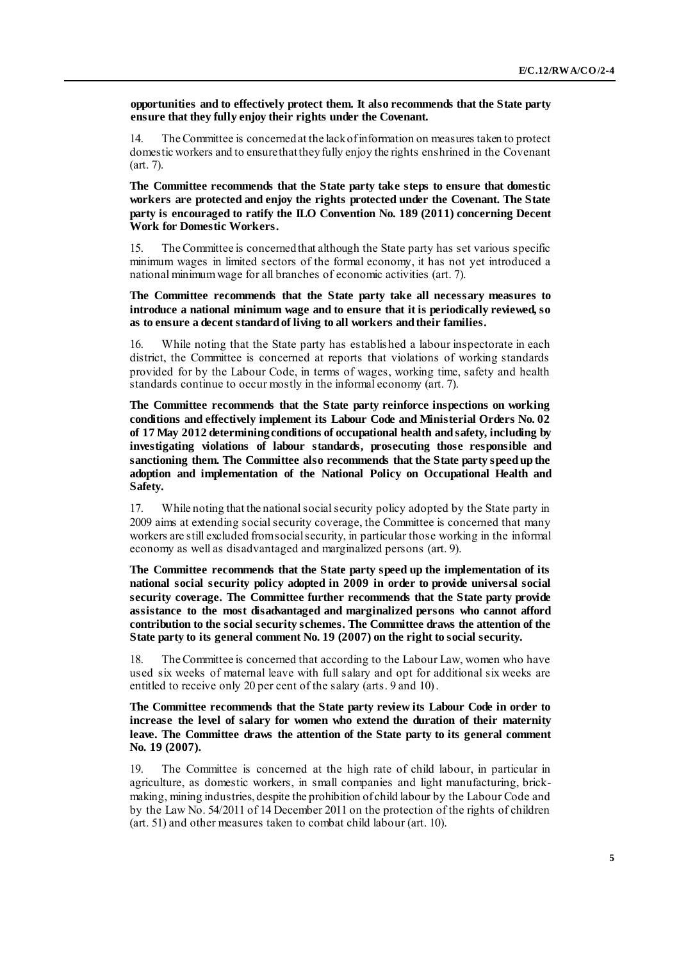**opportunities and to effectively protect them. It also recommends that the State party ensure that they fully enjoy their rights under the Covenant.**

14. The Committee is concerned at the lack of information on measures taken to protect domestic workers and to ensurethat they fully enjoy the rights enshrined in the Covenant (art. 7).

**The Committee recommends that the State party take steps to ensure that domestic workers are protected and enjoy the rights protected under the Covenant. The State party is encouraged to ratify the ILO Convention No. 189 (2011) concerning Decent Work for Domestic Workers.**

15. The Committee is concerned that although the State party has set various specific minimum wages in limited sectors of the formal economy, it has not yet introduced a national minimum wage for all branches of economic activities (art. 7).

**The Committee recommends that the State party take all necessary measures to introduce a national minimum wage and to ensure that it is periodically reviewed, so as to ensure a decent standard of living to all workers and their families.**

16. While noting that the State party has establis hed a labour inspectorate in each district, the Committee is concerned at reports that violations of working standards provided for by the Labour Code, in terms of wages, working time, safety and health standards continue to occur mostly in the informal economy (art. 7).

**The Committee recommends that the State party reinforce inspections on working conditions and effectively implement its Labour Code and Ministerial Orders No. 02 of 17 May 2012 determining conditions of occupational health and safety, including by investigating violations of labour standards, prosecuting those responsible and sanctioning them. The Committee also recommends that the State party speed up the adoption and implementation of the National Policy on Occupational Health and Safety.**

17. While noting that the national social security policy adopted by the State party in 2009 aims at extending social security coverage, the Committee is concerned that many workers are still excluded from social security, in particular those working in the informal economy as well as disadvantaged and marginalized persons (art. 9).

**The Committee recommends that the State party speed up the implementation of its national social security policy adopted in 2009 in order to provide universal social security coverage. The Committee further recommends that the State party provide assistance to the most disadvantaged and marginalized persons who cannot afford contribution to the social security schemes. The Committee draws the attention of the State party to its general comment No. 19 (2007) on the right to social security.**

18. The Committee is concerned that according to the Labour Law, women who have used six weeks of maternal leave with full salary and opt for additional six weeks are entitled to receive only 20 per cent of the salary (arts. 9 and 10).

#### **The Committee recommends that the State party review its Labour Code in order to increase the level of salary for women who extend the duration of their maternity leave. The Committee draws the attention of the State party to its general comment No. 19 (2007).**

19. The Committee is concerned at the high rate of child labour, in particular in agriculture, as domestic workers, in small companies and light manufacturing, brickmaking, mining industries, despite the prohibition of child labour by the Labour Code and by the Law No. 54/2011 of 14 December 2011 on the protection of the rights of children (art. 51) and other measures taken to combat child labour (art. 10).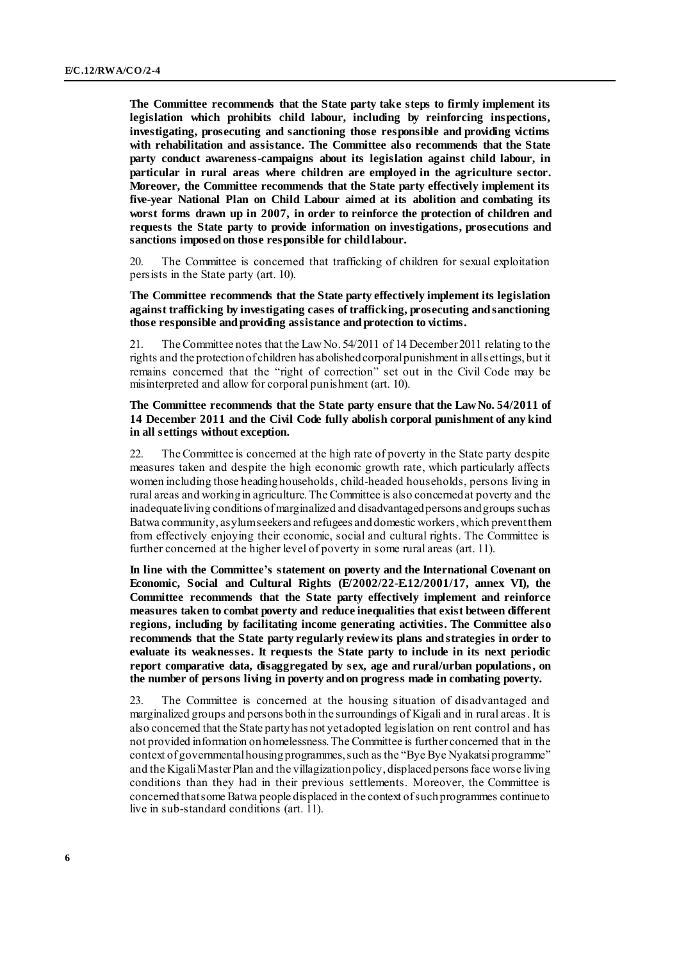**The Committee recommends that the State party take steps to firmly implement its legislation which prohibits child labour, including by reinforcing inspections, investigating, prosecuting and sanctioning those responsible and providing victims with rehabilitation and assistance. The Committee also recommends that the State party conduct awareness-campaigns about its legislation against child labour, in particular in rural areas where children are employed in the agriculture sector. Moreover, the Committee recommends that the State party effectively implement its five-year National Plan on Child Labour aimed at its abolition and combating its worst forms drawn up in 2007, in order to reinforce the protection of children and requests the State party to provide information on investigations, prosecutions and sanctions imposed on those responsible for child labour.**

20. The Committee is concerned that trafficking of children for sexual exploitation persists in the State party (art. 10).

#### **The Committee recommends that the State party effectively implement its legislation against trafficking by investigating cases of trafficking, prosecuting and sanctioning those responsible and providing assistance and protection to victims.**

21. The Committee notes that the Law No. 54/2011 of 14 December 2011 relating to the rights and the protection of children has abolished corporal punishment in all s ettings, but it remains concerned that the "right of correction" set out in the Civil Code may be misinterpreted and allow for corporal punishment (art. 10).

#### **The Committee recommends that the State party ensure that the Law No. 54/2011 of 14 December 2011 and the Civil Code fully abolish corporal punishment of any kind in all settings without exception.**

22. The Committee is concerned at the high rate of poverty in the State party despite measures taken and despite the high economic growth rate, which particularly affects women including those heading households, child-headed households, persons living in rural areas and working in agriculture. The Committee is also concerned at poverty and the inadequate living conditions of marginalized and disadvantaged persons and groups such as Batwa community, asylum seekers and refugees and domestic workers, which prevent them from effectively enjoying their economic, social and cultural rights. The Committee is further concerned at the higher level of poverty in some rural areas (art. 11).

**In line with the Committee's statement on poverty and the International Covenant on Economic, Social and Cultural Rights (E/2002/22-E.12/2001/17, annex VI), the Committee recommends that the State party effectively implement and reinforce measures taken to combat poverty and reduce inequalities that exist between different regions, including by facilitating income generating activities. The Committee also recommends that the State party regularly reviewits plans and strategies in order to evaluate its weaknesses. It requests the State party to include in its next periodic report comparative data, disaggregated by sex, age and rural/urban populations, on the number of persons living in poverty and on progress made in combating poverty.**

23. The Committee is concerned at the housing situation of disadvantaged and marginalized groups and persons both in the surroundings of Kigali and in rural areas. It is also concerned that the State party has not yet adopted legislation on rent control and has not provided information on homelessness. The Committee is further concerned that in the context of governmental housing programmes, such as the "Bye Bye Nyakatsi programme" and the Kigali Master Plan and the villagization policy, displacedpersonsface worse living conditions than they had in their previous settlements. Moreover, the Committee is concerned that some Batwa people displaced in the context of such programmes continue to live in sub-standard conditions (art. 11).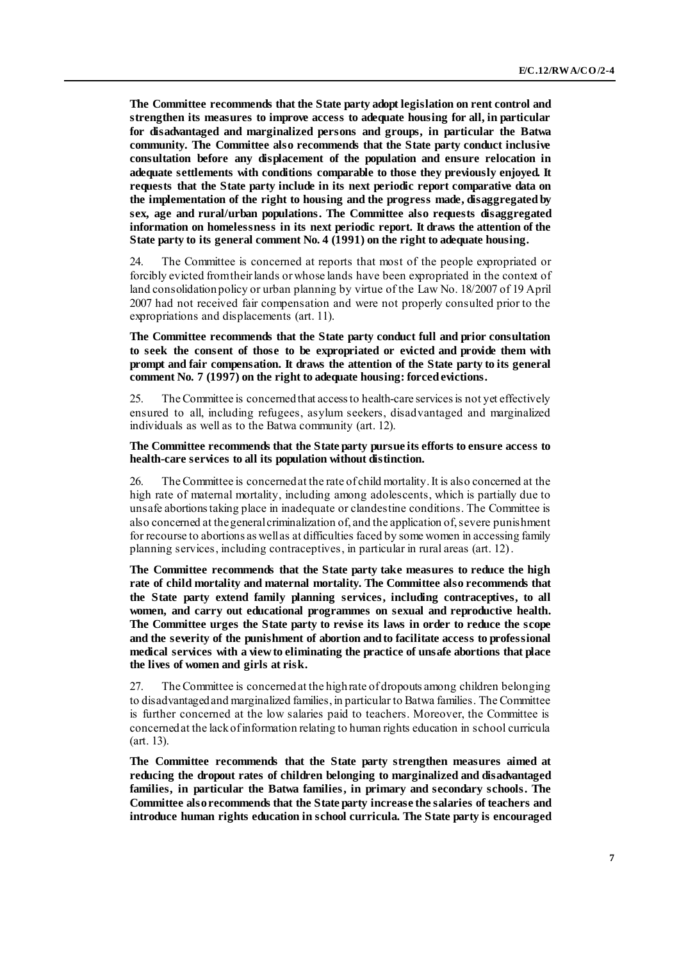**The Committee recommends that the State party adopt legislation on rent control and strengthen its measures to improve access to adequate housing for all, in particular for disadvantaged and marginalized persons and groups, in particular the Batwa community. The Committee also recommends that the State party conduct inclusive consultation before any displacement of the population and ensure relocation in adequate settlements with conditions comparable to those they previously enjoyed. It requests that the State party include in its next periodic report comparative data on the implementation of the right to housing and the progress made, disaggregated by sex, age and rural/urban populations. The Committee also requests disaggregated information on homelessness in its next periodic report. It draws the attention of the State party to its general comment No. 4 (1991) on the right to adequate housing.** 

24. The Committee is concerned at reports that most of the people expropriated or forcibly evicted from their lands or whose lands have been expropriated in the context of land consolidation policy or urban planning by virtue of the Law No. 18/2007 of 19 April 2007 had not received fair compensation and were not properly consulted prior to the expropriations and displacements (art. 11).

#### **The Committee recommends that the State party conduct full and prior consultation to seek the consent of those to be expropriated or evicted and provide them with prompt and fair compensation. It draws the attention of the State party to its general comment No. 7 (1997) on the right to adequate housing: forced evictions.**

25. The Committee is concerned that access to health-care services is not yet effectively ensured to all, including refugees, asylum seekers, disadvantaged and marginalized individuals as well as to the Batwa community (art. 12).

#### **The Committee recommends that the State party pursue its efforts to ensure access to health-care services to all its population without distinction.**

26. The Committee is concerned at the rate of child mortality. It is also concerned at the high rate of maternal mortality, including among adolescents, which is partially due to unsafe abortionstaking place in inadequate or clandestine conditions. The Committee is also concerned at the general criminalization of, and the application of, severe punishment for recourse to abortions as well as at difficulties faced by some women in accessing family planning services, including contraceptives, in particular in rural areas (art. 12).

**The Committee recommends that the State party take measures to reduce the high rate of child mortality and maternal mortality. The Committee also recommends that the State party extend family planning services, including contraceptives, to all women, and carry out educational programmes on sexual and reproductive health. The Committee urges the State party to revise its laws in order to reduce the scope and the severity of the punishment of abortion and to facilitate access to professional medical services with a view to eliminating the practice of unsafe abortions that place the lives of women and girls at risk.**

27. The Committee is concerned at the high rate of dropouts among children belonging to disadvantaged and marginalized families, in particular to Batwa families. The Committee is further concerned at the low salaries paid to teachers. Moreover, the Committee is concerned at the lack of information relating to human rights education in school curricula (art. 13).

**The Committee recommends that the State party strengthen measures aimed at reducing the dropout rates of children belonging to marginalized and disadvantaged families, in particular the Batwa families, in primary and secondary schools. The Committee alsorecommends that the State party increase the salaries of teachers and introduce human rights education in school curricula. The State party is encouraged**